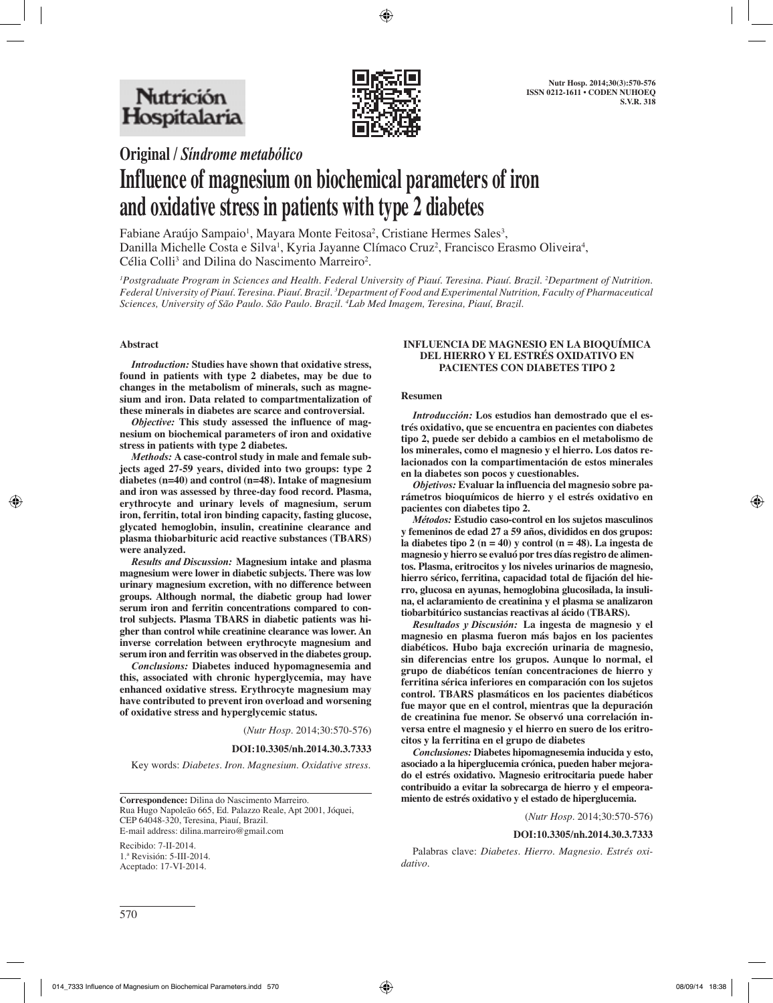

**Original /** *Síndrome metabólico*

# **Influence of magnesium on biochemical parameters of iron and oxidative stress in patients with type 2 diabetes**

Fabiane Araújo Sampaio<sup>1</sup>, Mayara Monte Feitosa<sup>2</sup>, Cristiane Hermes Sales<sup>3</sup>, Danilla Michelle Costa e Silva<sup>1</sup>, Kyria Jayanne Clímaco Cruz<sup>2</sup>, Francisco Erasmo Oliveira<sup>4</sup>,  $C$ élia Colli<sup>3</sup> and Dilina do Nascimento Marreiro<sup>2</sup>.

*1 Postgraduate Program in Sciences and Health. Federal University of Piauí. Teresina. Piauí. Brazil. 2 Department of Nutrition. Federal University of Piauí. Teresina. Piauí. Brazil. 3 Department of Food and Experimental Nutrition, Faculty of Pharmaceutical Sciences, University of São Paulo. São Paulo. Brazil. 4 Lab Med Imagem, Teresina, Piauí, Brazil.*

#### **Abstract**

*Introduction:* **Studies have shown that oxidative stress, found in patients with type 2 diabetes, may be due to changes in the metabolism of minerals, such as magnesium and iron. Data related to compartmentalization of these minerals in diabetes are scarce and controversial.** 

*Objective:* **This study assessed the influence of magnesium on biochemical parameters of iron and oxidative stress in patients with type 2 diabetes.**

*Methods:* **A case-control study in male and female subjects aged 27-59 years, divided into two groups: type 2 diabetes (n=40) and control (n=48). Intake of magnesium and iron was assessed by three-day food record. Plasma, erythrocyte and urinary levels of magnesium, serum iron, ferritin, total iron binding capacity, fasting glucose, glycated hemoglobin, insulin, creatinine clearance and plasma thiobarbituric acid reactive substances (TBARS) were analyzed.**

*Results and Discussion:* **Magnesium intake and plasma magnesium were lower in diabetic subjects. There was low urinary magnesium excretion, with no difference between groups. Although normal, the diabetic group had lower serum iron and ferritin concentrations compared to control subjects. Plasma TBARS in diabetic patients was higher than control while creatinine clearance was lower. An inverse correlation between erythrocyte magnesium and serum iron and ferritin was observed in the diabetes group.**

*Conclusions:* **Diabetes induced hypomagnesemia and this, associated with chronic hyperglycemia, may have enhanced oxidative stress. Erythrocyte magnesium may have contributed to prevent iron overload and worsening of oxidative stress and hyperglycemic status.**

(*Nutr Hosp.* 2014;30:570-576)

**DOI:10.3305/nh.2014.30.3.7333**

Key words: *Diabetes. Iron. Magnesium. Oxidative stress.*

**Correspondence:** Dilina do Nascimento Marreiro. Rua Hugo Napoleão 665, Ed. Palazzo Reale, Apt 2001, Jóquei, CEP 64048-320, Teresina, Piauí, Brazil. E-mail address: dilina.marreiro@gmail.com

Recibido: 7-II-2014. 1.ª Revisión: 5-III-2014. Aceptado: 17-VI-2014.

#### **INFLUENCIA DE MAGNESIO EN LA BIOQUÍMICA DEL HIERRO Y EL ESTRÉS OXIDATIVO EN PACIENTES CON DIABETES TIPO 2**

#### **Resumen**

*Introducción:* **Los estudios han demostrado que el estrés oxidativo, que se encuentra en pacientes con diabetes tipo 2, puede ser debido a cambios en el metabolismo de los minerales, como el magnesio y el hierro. Los datos relacionados con la compartimentación de estos minerales en la diabetes son pocos y cuestionables.**

*Objetivos:* **Evaluar la influencia del magnesio sobre parámetros bioquímicos de hierro y el estrés oxidativo en pacientes con diabetes tipo 2.** 

*Métodos:* **Estudio caso-control en los sujetos masculinos y femeninos de edad 27 a 59 años, divididos en dos grupos: la diabetes tipo 2 (n = 40) y control (n = 48). La ingesta de magnesio y hierro se evaluó por tres días registro de alimentos. Plasma, eritrocitos y los niveles urinarios de magnesio, hierro sérico, ferritina, capacidad total de fijación del hierro, glucosa en ayunas, hemoglobina glucosilada, la insulina, el aclaramiento de creatinina y el plasma se analizaron tiobarbitúrico sustancias reactivas al ácido (TBARS).**

*Resultados y Discusión:* **La ingesta de magnesio y el magnesio en plasma fueron más bajos en los pacientes diabéticos. Hubo baja excreción urinaria de magnesio, sin diferencias entre los grupos. Aunque lo normal, el grupo de diabéticos tenían concentraciones de hierro y ferritina sérica inferiores en comparación con los sujetos control. TBARS plasmáticos en los pacientes diabéticos fue mayor que en el control, mientras que la depuración de creatinina fue menor. Se observó una correlación inversa entre el magnesio y el hierro en suero de los eritrocitos y la ferritina en el grupo de diabetes**

*Conclusiones:* **Diabetes hipomagnesemia inducida y esto, asociado a la hiperglucemia crónica, pueden haber mejorado el estrés oxidativo. Magnesio eritrocitaria puede haber contribuido a evitar la sobrecarga de hierro y el empeoramiento de estrés oxidativo y el estado de hiperglucemia.**

(*Nutr Hosp.* 2014;30:570-576)

#### **DOI:10.3305/nh.2014.30.3.7333**

Palabras clave: *Diabetes. Hierro. Magnesio. Estrés oxidativo.*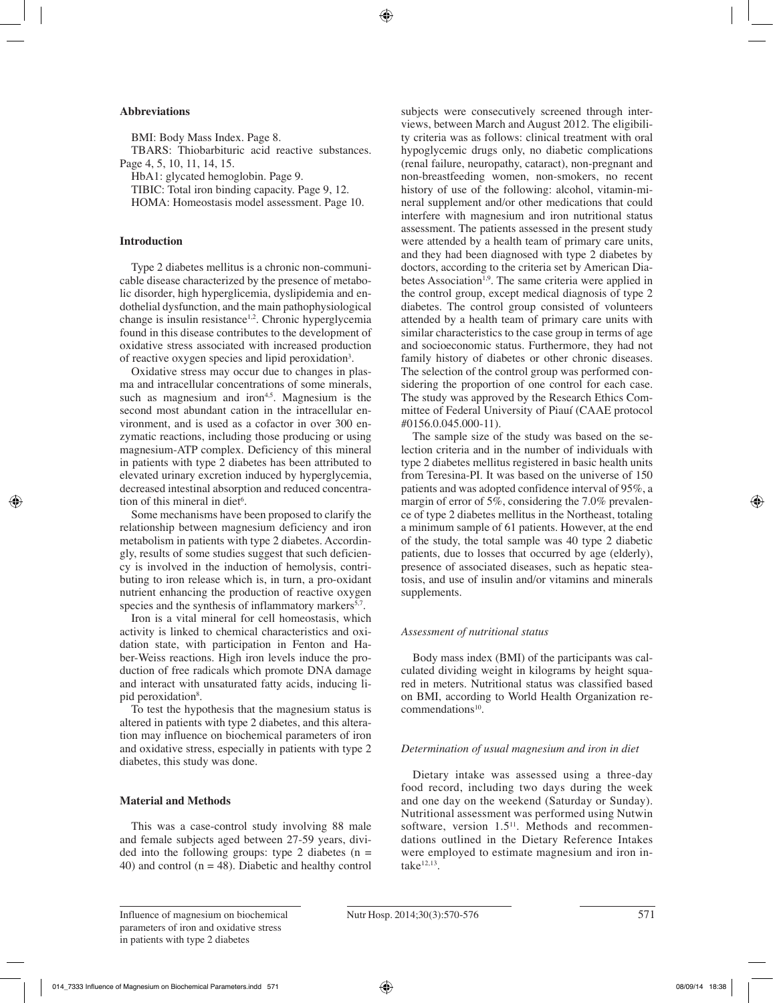## **Abbreviations**

BMI: Body Mass Index. Page 8. TBARS: Thiobarbituric acid reactive substances. Page 4, 5, 10, 11, 14, 15.

HbA1: glycated hemoglobin. Page 9.

TIBIC: Total iron binding capacity. Page 9, 12. HOMA: Homeostasis model assessment. Page 10.

## **Introduction**

Type 2 diabetes mellitus is a chronic non-communicable disease characterized by the presence of metabolic disorder, high hyperglicemia, dyslipidemia and endothelial dysfunction, and the main pathophysiological change is insulin resistance<sup>1,2</sup>. Chronic hyperglycemia found in this disease contributes to the development of oxidative stress associated with increased production of reactive oxygen species and lipid peroxidation<sup>3</sup>.

Oxidative stress may occur due to changes in plasma and intracellular concentrations of some minerals, such as magnesium and iron<sup>4,5</sup>. Magnesium is the second most abundant cation in the intracellular environment, and is used as a cofactor in over 300 enzymatic reactions, including those producing or using magnesium-ATP complex. Deficiency of this mineral in patients with type 2 diabetes has been attributed to elevated urinary excretion induced by hyperglycemia, decreased intestinal absorption and reduced concentration of this mineral in diet<sup>6</sup>.

Some mechanisms have been proposed to clarify the relationship between magnesium deficiency and iron metabolism in patients with type 2 diabetes. Accordingly, results of some studies suggest that such deficiency is involved in the induction of hemolysis, contributing to iron release which is, in turn, a pro-oxidant nutrient enhancing the production of reactive oxygen species and the synthesis of inflammatory markers<sup>5,7</sup>.

Iron is a vital mineral for cell homeostasis, which activity is linked to chemical characteristics and oxidation state, with participation in Fenton and Haber-Weiss reactions. High iron levels induce the production of free radicals which promote DNA damage and interact with unsaturated fatty acids, inducing lipid peroxidation<sup>8</sup>.

To test the hypothesis that the magnesium status is altered in patients with type 2 diabetes, and this alteration may influence on biochemical parameters of iron and oxidative stress, especially in patients with type 2 diabetes, this study was done.

## **Material and Methods**

This was a case-control study involving 88 male and female subjects aged between 27-59 years, divided into the following groups: type 2 diabetes  $(n =$ 40) and control  $(n = 48)$ . Diabetic and healthy control subjects were consecutively screened through interviews, between March and August 2012. The eligibility criteria was as follows: clinical treatment with oral hypoglycemic drugs only, no diabetic complications (renal failure, neuropathy, cataract), non-pregnant and non-breastfeeding women, non-smokers, no recent history of use of the following: alcohol, vitamin-mineral supplement and/or other medications that could interfere with magnesium and iron nutritional status assessment. The patients assessed in the present study were attended by a health team of primary care units, and they had been diagnosed with type 2 diabetes by doctors, according to the criteria set by American Diabetes Association<sup>1,9</sup>. The same criteria were applied in the control group, except medical diagnosis of type 2 diabetes. The control group consisted of volunteers attended by a health team of primary care units with similar characteristics to the case group in terms of age and socioeconomic status. Furthermore, they had not family history of diabetes or other chronic diseases. The selection of the control group was performed considering the proportion of one control for each case. The study was approved by the Research Ethics Committee of Federal University of Piauí (CAAE protocol #0156.0.045.000-11).

The sample size of the study was based on the selection criteria and in the number of individuals with type 2 diabetes mellitus registered in basic health units from Teresina-PI. It was based on the universe of 150 patients and was adopted confidence interval of 95%, a margin of error of 5%, considering the 7.0% prevalence of type 2 diabetes mellitus in the Northeast, totaling a minimum sample of 61 patients. However, at the end of the study, the total sample was 40 type 2 diabetic patients, due to losses that occurred by age (elderly), presence of associated diseases, such as hepatic steatosis, and use of insulin and/or vitamins and minerals supplements.

## *Assessment of nutritional status*

Body mass index (BMI) of the participants was calculated dividing weight in kilograms by height squared in meters. Nutritional status was classified based on BMI, according to World Health Organization recommendations<sup>10</sup>.

### *Determination of usual magnesium and iron in diet*

Dietary intake was assessed using a three-day food record, including two days during the week and one day on the weekend (Saturday or Sunday). Nutritional assessment was performed using Nutwin software, version  $1.5<sup>11</sup>$ . Methods and recommendations outlined in the Dietary Reference Intakes were employed to estimate magnesium and iron intake $12,13$ .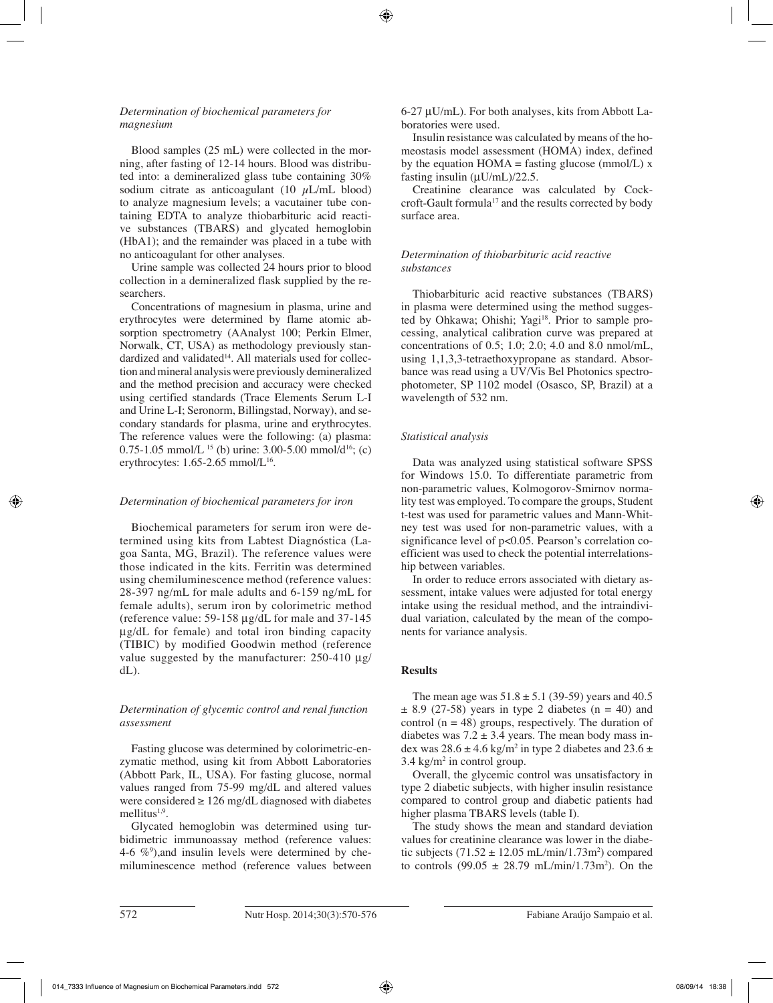## *Determination of biochemical parameters for magnesium*

Blood samples (25 mL) were collected in the morning, after fasting of 12-14 hours. Blood was distributed into: a demineralized glass tube containing 30% sodium citrate as anticoagulant (10  $\mu$ L/mL blood) to analyze magnesium levels; a vacutainer tube containing EDTA to analyze thiobarbituric acid reactive substances (TBARS) and glycated hemoglobin (HbA1); and the remainder was placed in a tube with no anticoagulant for other analyses.

Urine sample was collected 24 hours prior to blood collection in a demineralized flask supplied by the researchers.

Concentrations of magnesium in plasma, urine and erythrocytes were determined by flame atomic absorption spectrometry (AAnalyst 100; Perkin Elmer, Norwalk, CT, USA) as methodology previously standardized and validated $14$ . All materials used for collection and mineral analysis were previously demineralized and the method precision and accuracy were checked using certified standards (Trace Elements Serum L-I and Urine L-I; Seronorm, Billingstad, Norway), and secondary standards for plasma, urine and erythrocytes. The reference values were the following: (a) plasma: 0.75-1.05 mmol/L <sup>15</sup> (b) urine: 3.00-5.00 mmol/d<sup>16</sup>; (c) erythrocytes:  $1.65$ -2.65 mmol/L<sup>16</sup>.

# *Determination of biochemical parameters for iron*

Biochemical parameters for serum iron were determined using kits from Labtest Diagnóstica (Lagoa Santa, MG, Brazil). The reference values were those indicated in the kits. Ferritin was determined using chemiluminescence method (reference values: 28-397 ng/mL for male adults and 6-159 ng/mL for female adults), serum iron by colorimetric method (reference value: 59-158 µg/dL for male and 37-145 µg/dL for female) and total iron binding capacity (TIBIC) by modified Goodwin method (reference value suggested by the manufacturer:  $250-410 \mu$ g/ dL).

## *Determination of glycemic control and renal function assessment*

Fasting glucose was determined by colorimetric-enzymatic method, using kit from Abbott Laboratories (Abbott Park, IL, USA). For fasting glucose, normal values ranged from 75-99 mg/dL and altered values were considered  $\geq 126$  mg/dL diagnosed with diabetes mellitus $1,9$ .

Glycated hemoglobin was determined using turbidimetric immunoassay method (reference values: 4-6  $\%$ <sup>9</sup>), and insulin levels were determined by chemiluminescence method (reference values between 6-27 µU/mL). For both analyses, kits from Abbott Laboratories were used.

Insulin resistance was calculated by means of the homeostasis model assessment (HOMA) index, defined by the equation  $HOMA =$  fasting glucose (mmol/L) x fasting insulin  $(\mu U/mL)/22.5$ .

Creatinine clearance was calculated by Cockcroft-Gault formula17 and the results corrected by body surface area.

# *Determination of thiobarbituric acid reactive substances*

Thiobarbituric acid reactive substances (TBARS) in plasma were determined using the method suggested by Ohkawa; Ohishi; Yagi<sup>18</sup>. Prior to sample processing, analytical calibration curve was prepared at concentrations of 0.5; 1.0; 2.0; 4.0 and 8.0 nmol/mL, using 1,1,3,3-tetraethoxypropane as standard. Absorbance was read using a UV/Vis Bel Photonics spectrophotometer, SP 1102 model (Osasco, SP, Brazil) at a wavelength of 532 nm.

# *Statistical analysis*

Data was analyzed using statistical software SPSS for Windows 15.0. To differentiate parametric from non-parametric values, Kolmogorov-Smirnov normality test was employed. To compare the groups, Student t-test was used for parametric values and Mann-Whitney test was used for non-parametric values, with a significance level of p<0.05. Pearson's correlation coefficient was used to check the potential interrelationship between variables.

In order to reduce errors associated with dietary assessment, intake values were adjusted for total energy intake using the residual method, and the intraindividual variation, calculated by the mean of the components for variance analysis.

# **Results**

The mean age was  $51.8 \pm 5.1$  (39-59) years and 40.5  $\pm$  8.9 (27-58) years in type 2 diabetes (n = 40) and control  $(n = 48)$  groups, respectively. The duration of diabetes was  $7.2 \pm 3.4$  years. The mean body mass index was  $28.6 \pm 4.6$  kg/m<sup>2</sup> in type 2 diabetes and  $23.6 \pm$  $3.4 \text{ kg/m}^2$  in control group.

Overall, the glycemic control was unsatisfactory in type 2 diabetic subjects, with higher insulin resistance compared to control group and diabetic patients had higher plasma TBARS levels (table I).

The study shows the mean and standard deviation values for creatinine clearance was lower in the diabetic subjects  $(71.52 \pm 12.05 \text{ mL/min}/1.73 \text{m}^2)$  compared to controls  $(99.05 \pm 28.79 \text{ mL/min}/1.73 \text{m}^2)$ . On the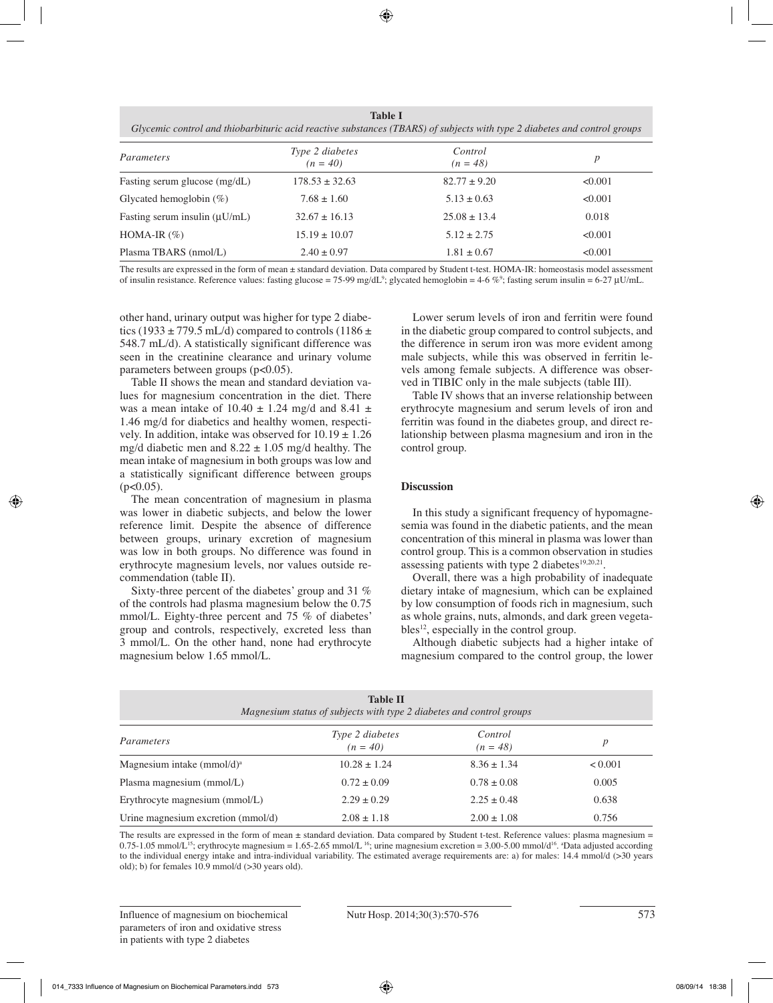**Table I** *Glycemic control and thiobarbituric acid reactive substances (TBARS) of subjects with type 2 diabetes and control groups*

| Parameters                         | Type 2 diabetes<br>$(n = 40)$ | Control<br>$(n = 48)$ | $\boldsymbol{p}$ |  |  |
|------------------------------------|-------------------------------|-----------------------|------------------|--|--|
| Fasting serum glucose (mg/dL)      | $178.53 \pm 32.63$            | $82.77 \pm 9.20$      | < 0.001          |  |  |
| Glycated hemoglobin $(\%)$         | $7.68 \pm 1.60$               | $5.13 \pm 0.63$       | < 0.001          |  |  |
| Fasting serum insulin $(\mu U/mL)$ | $32.67 \pm 16.13$             | $25.08 \pm 13.4$      | 0.018            |  |  |
| HOMA-IR $(\%)$                     | $15.19 \pm 10.07$             | $5.12 \pm 2.75$       | < 0.001          |  |  |
| Plasma TBARS (nmol/L)              | $2.40 \pm 0.97$               | $1.81 \pm 0.67$       | < 0.001          |  |  |

The results are expressed in the form of mean ± standard deviation. Data compared by Student t-test. HOMA-IR: homeostasis model assessment of insulin resistance. Reference values: fasting glucose = 75-99 mg/dL<sup>9</sup>; glycated hemoglobin = 4-6 %<sup>9</sup>; fasting serum insulin = 6-27 µU/mL.

other hand, urinary output was higher for type 2 diabetics (1933  $\pm$  779.5 mL/d) compared to controls (1186  $\pm$ 548.7 mL/d). A statistically significant difference was seen in the creatinine clearance and urinary volume parameters between groups  $(p<0.05)$ .

Table II shows the mean and standard deviation values for magnesium concentration in the diet. There was a mean intake of 10.40  $\pm$  1.24 mg/d and 8.41  $\pm$ 1.46 mg/d for diabetics and healthy women, respectively. In addition, intake was observed for  $10.19 \pm 1.26$ mg/d diabetic men and  $8.22 \pm 1.05$  mg/d healthy. The mean intake of magnesium in both groups was low and a statistically significant difference between groups  $(p<0.05)$ .

The mean concentration of magnesium in plasma was lower in diabetic subjects, and below the lower reference limit. Despite the absence of difference between groups, urinary excretion of magnesium was low in both groups. No difference was found in erythrocyte magnesium levels, nor values outside recommendation (table II).

Sixty-three percent of the diabetes' group and 31 % of the controls had plasma magnesium below the 0.75 mmol/L. Eighty-three percent and 75 % of diabetes' group and controls, respectively, excreted less than 3 mmol/L. On the other hand, none had erythrocyte magnesium below 1.65 mmol/L.

Lower serum levels of iron and ferritin were found in the diabetic group compared to control subjects, and the difference in serum iron was more evident among male subjects, while this was observed in ferritin levels among female subjects. A difference was observed in TIBIC only in the male subjects (table III).

Table IV shows that an inverse relationship between erythrocyte magnesium and serum levels of iron and ferritin was found in the diabetes group, and direct relationship between plasma magnesium and iron in the control group.

# **Discussion**

In this study a significant frequency of hypomagnesemia was found in the diabetic patients, and the mean concentration of this mineral in plasma was lower than control group. This is a common observation in studies assessing patients with type 2 diabetes<sup>19,20,21</sup>.

Overall, there was a high probability of inadequate dietary intake of magnesium, which can be explained by low consumption of foods rich in magnesium, such as whole grains, nuts, almonds, and dark green vegeta $bles<sup>12</sup>$ , especially in the control group.

Although diabetic subjects had a higher intake of magnesium compared to the control group, the lower

| <b>Table II</b><br>Magnesium status of subjects with type 2 diabetes and control groups |                               |                       |         |  |  |  |  |  |
|-----------------------------------------------------------------------------------------|-------------------------------|-----------------------|---------|--|--|--|--|--|
| Parameters                                                                              | Type 2 diabetes<br>$(n = 40)$ | Control<br>$(n = 48)$ | р       |  |  |  |  |  |
| Magnesium intake (mmol/d) <sup>a</sup>                                                  | $10.28 \pm 1.24$              | $8.36 \pm 1.34$       | < 0.001 |  |  |  |  |  |
| Plasma magnesium (mmol/L)                                                               | $0.72 \pm 0.09$               | $0.78 \pm 0.08$       | 0.005   |  |  |  |  |  |
| Erythrocyte magnesium (mmol/L)                                                          | $2.29 \pm 0.29$               | $2.25 \pm 0.48$       | 0.638   |  |  |  |  |  |
| Urine magnesium excretion (mmol/d)                                                      | $2.08 \pm 1.18$               | $2.00 \pm 1.08$       | 0.756   |  |  |  |  |  |

The results are expressed in the form of mean ± standard deviation. Data compared by Student t-test. Reference values: plasma magnesium =  $0.75-1.05$  mmol/L<sup>15</sup>; erythrocyte magnesium = 1.65-2.65 mmol/L<sup>16</sup>; urine magnesium excretion = 3.00-5.00 mmol/d<sup>16</sup>. <sup>a</sup>Data adjusted according to the individual energy intake and intra-individual variability. The estimated average requirements are: a) for males: 14.4 mmol/d (>30 years old); b) for females 10.9 mmol/d (>30 years old).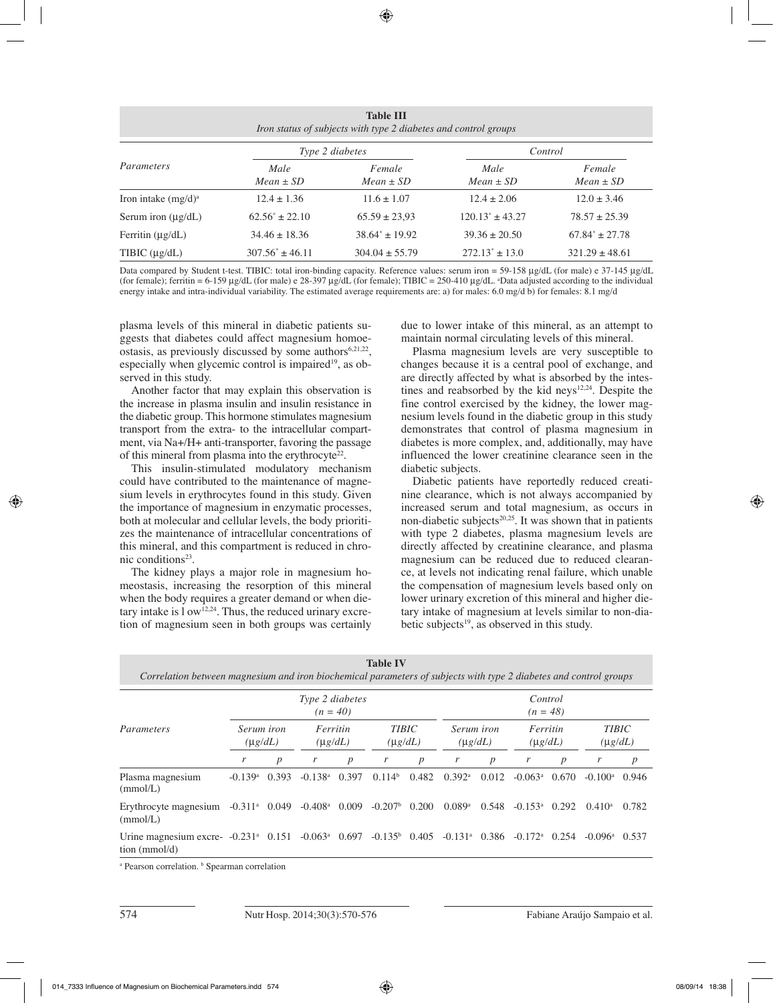| <b>Table III</b><br>Iron status of subjects with type 2 diabetes and control groups |                       |                         |                       |                         |  |  |  |  |  |
|-------------------------------------------------------------------------------------|-----------------------|-------------------------|-----------------------|-------------------------|--|--|--|--|--|
| Parameters                                                                          |                       | Type 2 diabetes         | Control               |                         |  |  |  |  |  |
|                                                                                     | Male<br>$Mean \pm SD$ | Female<br>$Mean \pm SD$ | Male<br>$Mean \pm SD$ | Female<br>$Mean \pm SD$ |  |  |  |  |  |
| Iron intake $(mg/d)^a$                                                              | $12.4 \pm 1.36$       | $11.6 \pm 1.07$         | $12.4 \pm 2.06$       | $12.0 \pm 3.46$         |  |  |  |  |  |
| Serum iron $(\mu g/dL)$                                                             | $62.56^* \pm 22.10$   | $65.59 \pm 23.93$       | $120.13^* \pm 43.27$  | $78.57 \pm 25.39$       |  |  |  |  |  |
| Ferritin $(\mu g/dL)$                                                               | $34.46 \pm 18.36$     | $38.64^* \pm 19.92$     | $39.36 \pm 20.50$     | $67.84^* \pm 27.78$     |  |  |  |  |  |
| TIBIC $(\mu g/dL)$                                                                  | $307.56^* \pm 46.11$  | $304.04 \pm 55.79$      | $272.13^* \pm 13.0$   | $321.29 \pm 48.61$      |  |  |  |  |  |

Data compared by Student t-test. TIBIC: total iron-binding capacity. Reference values: serum iron = 59-158 µg/dL (for male) e 37-145 µg/dL (for female); ferritin = 6-159 µg/dL (for male) e 28-397 µg/dL (for female); TIBIC = 250-410 µg/dL. a Data adjusted according to the individual energy intake and intra-individual variability. The estimated average requirements are: a) for males: 6.0 mg/d b) for females: 8.1 mg/d

plasma levels of this mineral in diabetic patients suggests that diabetes could affect magnesium homoeostasis, as previously discussed by some authors $6,21,22$ , especially when glycemic control is impaired<sup>19</sup>, as observed in this study.

Another factor that may explain this observation is the increase in plasma insulin and insulin resistance in the diabetic group. This hormone stimulates magnesium transport from the extra- to the intracellular compartment, via Na+/H+ anti-transporter, favoring the passage of this mineral from plasma into the erythrocyte $22$ .

This insulin-stimulated modulatory mechanism could have contributed to the maintenance of magnesium levels in erythrocytes found in this study. Given the importance of magnesium in enzymatic processes, both at molecular and cellular levels, the body prioritizes the maintenance of intracellular concentrations of this mineral, and this compartment is reduced in chronic conditions<sup>23</sup>.

The kidney plays a major role in magnesium homeostasis, increasing the resorption of this mineral when the body requires a greater demand or when dietary intake is  $1 \text{ ow}^{12,24}$ . Thus, the reduced urinary excretion of magnesium seen in both groups was certainly due to lower intake of this mineral, as an attempt to maintain normal circulating levels of this mineral.

Plasma magnesium levels are very susceptible to changes because it is a central pool of exchange, and are directly affected by what is absorbed by the intestines and reabsorbed by the kid neys<sup>12,24</sup>. Despite the fine control exercised by the kidney, the lower magnesium levels found in the diabetic group in this study demonstrates that control of plasma magnesium in diabetes is more complex, and, additionally, may have influenced the lower creatinine clearance seen in the diabetic subjects.

Diabetic patients have reportedly reduced creatinine clearance, which is not always accompanied by increased serum and total magnesium, as occurs in non-diabetic subjects<sup>20,25</sup>. It was shown that in patients with type 2 diabetes, plasma magnesium levels are directly affected by creatinine clearance, and plasma magnesium can be reduced due to reduced clearance, at levels not indicating renal failure, which unable the compensation of magnesium levels based only on lower urinary excretion of this mineral and higher dietary intake of magnesium at levels similar to non-diabetic subjects<sup>19</sup>, as observed in this study.

| Correlation between magnesium and iron biochemical parameters of subjects with type 2 diabetes and control groups |                               |                  |                       |                          |                        |                                                            |                               |                  |                               |                  |                               |                  |
|-------------------------------------------------------------------------------------------------------------------|-------------------------------|------------------|-----------------------|--------------------------|------------------------|------------------------------------------------------------|-------------------------------|------------------|-------------------------------|------------------|-------------------------------|------------------|
|                                                                                                                   | Type 2 diabetes<br>$(n = 40)$ |                  |                       |                          |                        | Control<br>$(n = 48)$                                      |                               |                  |                               |                  |                               |                  |
| Parameters                                                                                                        | Serum iron<br>$(\mu g/dL)$    |                  |                       | Ferritin<br>$(\mu g/dL)$ |                        | <b>TIBIC</b><br>Serum iron<br>$(\mu g/dL)$<br>$(\mu g/dL)$ |                               |                  | Ferritin<br>$(\mu g/dL)$      |                  | <b>TIBIC</b><br>$(\mu g/dL)$  |                  |
|                                                                                                                   | r                             | $\boldsymbol{p}$ | r                     | $\boldsymbol{p}$         | r                      | $\boldsymbol{p}$                                           | r                             | $\boldsymbol{p}$ | r                             | $\boldsymbol{p}$ | r                             | $\boldsymbol{p}$ |
| Plasma magnesium<br>(mmol/L)                                                                                      | $-0.139$ <sup>a</sup>         | 0.393            | $-0.138$ <sup>a</sup> | 0.397                    | 0.114 <sup>b</sup>     | 0.482                                                      | $0.392$ <sup>a</sup>          | 0.012            | $-0.063$ <sup>a</sup>         | 0.670            | $-0.100$ <sup>a</sup>         | 0.946            |
| Erythrocyte magnesium $-0.311^{\circ}$ 0.049 $-0.408^{\circ}$ 0.009<br>(mmol/L)                                   |                               |                  |                       |                          | $-0.207^{\rm b}$ 0.200 |                                                            | $0.089$ <sup>a</sup>          | 0.548            | $-0.153$ <sup>a</sup> $0.292$ |                  | $0.410^a$                     | 0.782            |
| Urine magnesium excre- $-0.231^{\circ}$ 0.151 $-0.063^{\circ}$ 0.697<br>tion $(mmol/d)$                           |                               |                  |                       |                          | $-0.135^{\circ}$ 0.405 |                                                            | $-0.131$ <sup>a</sup> $0.386$ |                  | $-0.172$ <sup>a</sup>         | 0.254            | $-0.096$ <sup>a</sup> $0.537$ |                  |

**Table IV**

<sup>a</sup> Pearson correlation. **b** Spearman correlation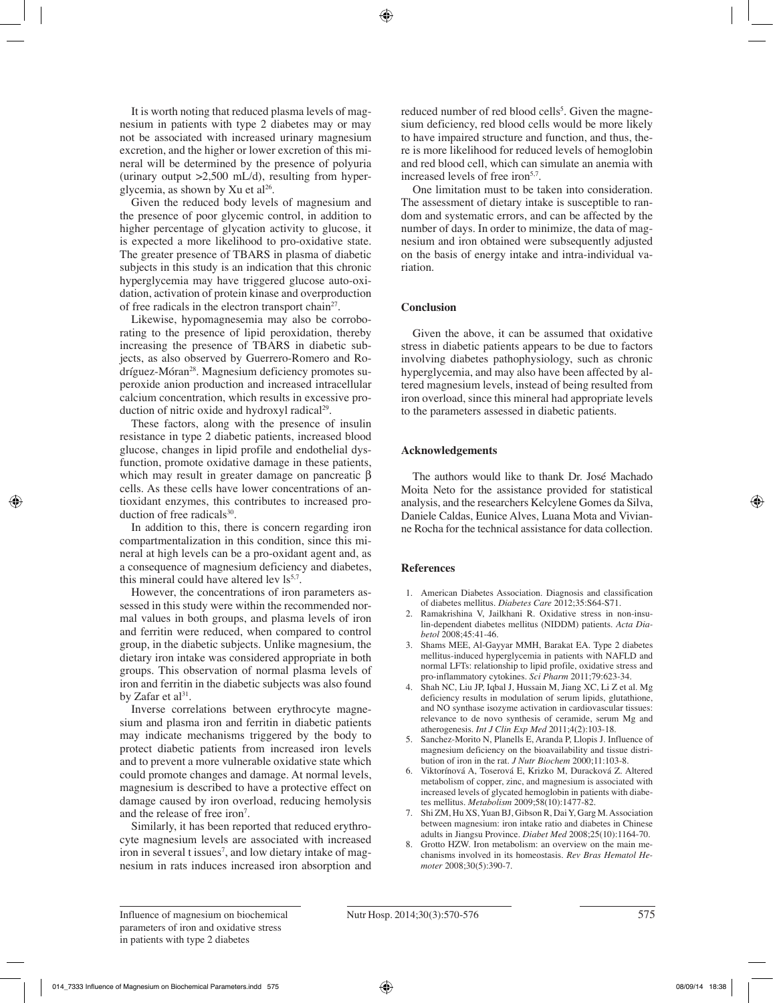It is worth noting that reduced plasma levels of magnesium in patients with type 2 diabetes may or may not be associated with increased urinary magnesium excretion, and the higher or lower excretion of this mineral will be determined by the presence of polyuria (urinary output  $>2,500$  mL/d), resulting from hyperglycemia, as shown by Xu et  $al^{26}$ .

Given the reduced body levels of magnesium and the presence of poor glycemic control, in addition to higher percentage of glycation activity to glucose, it is expected a more likelihood to pro-oxidative state. The greater presence of TBARS in plasma of diabetic subjects in this study is an indication that this chronic hyperglycemia may have triggered glucose auto-oxidation, activation of protein kinase and overproduction of free radicals in the electron transport chain<sup>27</sup>.

Likewise, hypomagnesemia may also be corroborating to the presence of lipid peroxidation, thereby increasing the presence of TBARS in diabetic subjects, as also observed by Guerrero-Romero and Rodríguez-Móran28. Magnesium deficiency promotes superoxide anion production and increased intracellular calcium concentration, which results in excessive production of nitric oxide and hydroxyl radical<sup>29</sup>.

These factors, along with the presence of insulin resistance in type 2 diabetic patients, increased blood glucose, changes in lipid profile and endothelial dysfunction, promote oxidative damage in these patients, which may result in greater damage on pancreatic β cells. As these cells have lower concentrations of antioxidant enzymes, this contributes to increased production of free radicals<sup>30</sup>.

In addition to this, there is concern regarding iron compartmentalization in this condition, since this mineral at high levels can be a pro-oxidant agent and, as a consequence of magnesium deficiency and diabetes, this mineral could have altered lev  $ls^{5,7}$ .

However, the concentrations of iron parameters assessed in this study were within the recommended normal values in both groups, and plasma levels of iron and ferritin were reduced, when compared to control group, in the diabetic subjects. Unlike magnesium, the dietary iron intake was considered appropriate in both groups. This observation of normal plasma levels of iron and ferritin in the diabetic subjects was also found by Zafar et al<sup>31</sup>.

Inverse correlations between erythrocyte magnesium and plasma iron and ferritin in diabetic patients may indicate mechanisms triggered by the body to protect diabetic patients from increased iron levels and to prevent a more vulnerable oxidative state which could promote changes and damage. At normal levels, magnesium is described to have a protective effect on damage caused by iron overload, reducing hemolysis and the release of free iron<sup>7</sup>.

Similarly, it has been reported that reduced erythrocyte magnesium levels are associated with increased iron in several t issues<sup>7</sup>, and low dietary intake of magnesium in rats induces increased iron absorption and

reduced number of red blood cells<sup>3</sup>. Given the magnesium deficiency, red blood cells would be more likely to have impaired structure and function, and thus, there is more likelihood for reduced levels of hemoglobin and red blood cell, which can simulate an anemia with increased levels of free iron<sup>5,7</sup>.

One limitation must to be taken into consideration. The assessment of dietary intake is susceptible to random and systematic errors, and can be affected by the number of days. In order to minimize, the data of magnesium and iron obtained were subsequently adjusted on the basis of energy intake and intra-individual variation.

# **Conclusion**

Given the above, it can be assumed that oxidative stress in diabetic patients appears to be due to factors involving diabetes pathophysiology, such as chronic hyperglycemia, and may also have been affected by altered magnesium levels, instead of being resulted from iron overload, since this mineral had appropriate levels to the parameters assessed in diabetic patients.

# **Acknowledgements**

The authors would like to thank Dr. José Machado Moita Neto for the assistance provided for statistical analysis, and the researchers Kelcylene Gomes da Silva, Daniele Caldas, Eunice Alves, Luana Mota and Vivianne Rocha for the technical assistance for data collection.

# **References**

- 1. American Diabetes Association. Diagnosis and classification of diabetes mellitus. *Diabetes Care* 2012;35:S64-S71.
- 2. Ramakrishina V, Jailkhani R. Oxidative stress in non-insulin-dependent diabetes mellitus (NIDDM) patients. *Acta Diabetol* 2008;45:41-46.
- 3. Shams MEE, Al-Gayyar MMH, Barakat EA. Type 2 diabetes mellitus-induced hyperglycemia in patients with NAFLD and normal LFTs: relationship to lipid profile, oxidative stress and pro-inflammatory cytokines. *Sci Pharm* 2011;79:623-34.
- 4. Shah NC, Liu JP, Iqbal J, Hussain M, Jiang XC, Li Z et al. Mg deficiency results in modulation of serum lipids, glutathione, and NO synthase isozyme activation in cardiovascular tissues: relevance to de novo synthesis of ceramide, serum Mg and atherogenesis. *Int J Clin Exp Med* 2011;4(2):103-18.
- 5. Sanchez-Morito N, Planells E, Aranda P, Llopis J. Influence of magnesium deficiency on the bioavailability and tissue distribution of iron in the rat. *J Nutr Biochem* 2000;11:103-8.
- 6. Viktorínová A, Toserová E, Krizko M, Duracková Z. Altered metabolism of copper, zinc, and magnesium is associated with increased levels of glycated hemoglobin in patients with diabetes mellitus. *Metabolism* 2009;58(10):1477-82.
- 7. Shi ZM, Hu XS, Yuan BJ, Gibson R, Dai Y, Garg M. Association between magnesium: iron intake ratio and diabetes in Chinese adults in Jiangsu Province. *Diabet Med* 2008;25(10):1164-70.
- 8. Grotto HZW. Iron metabolism: an overview on the main mechanisms involved in its homeostasis. *Rev Bras Hematol Hemoter* 2008;30(5):390-7.